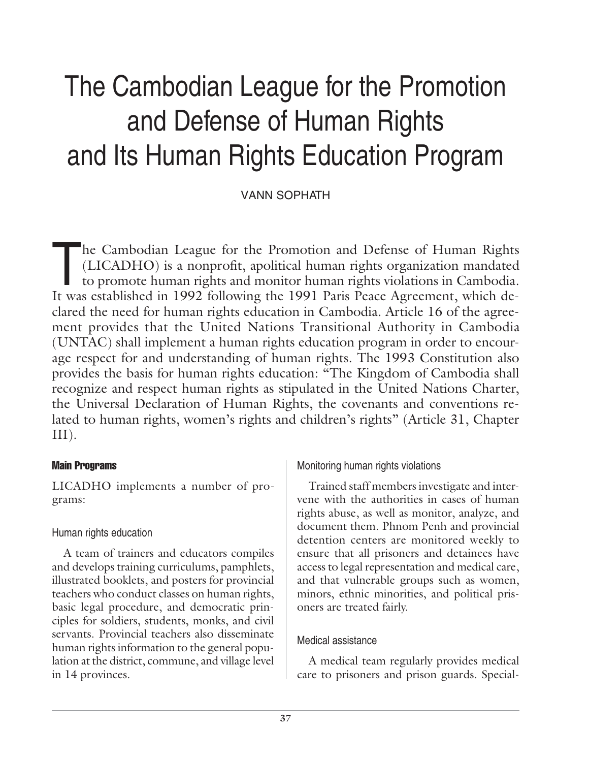# The Cambodian League for the Promotion and Defense of Human Rights and Its Human Rights Education Program

VANN SOPHATH

The Cambodian League for the Promotion and Defense of Human Rights<br>
(LICADHO) is a nonprofit, apolitical human rights organization mandated<br>
to promote human rights and monitor human rights violations in Cambodia.<br>
It was (LICADHO) is a nonprofit, apolitical human rights organization mandated It was established in 1992 following the 1991 Paris Peace Agreement, which declared the need for human rights education in Cambodia. Article 16 of the agreement provides that the United Nations Transitional Authority in Cambodia (UNTAC) shall implement a human rights education program in order to encourage respect for and understanding of human rights. The 1993 Constitution also provides the basis for human rights education: "The Kingdom of Cambodia shall recognize and respect human rights as stipulated in the United Nations Charter, the Universal Declaration of Human Rights, the covenants and conventions related to human rights, women's rights and children's rights" (Article 31, Chapter  $III$ ).

## Main Programs

LICADHO implements a number of programs:

# Human rights education

A team of trainers and educators compiles and develops training curriculums, pamphlets, illustrated booklets, and posters for provincial teachers who conduct classes on human rights, basic legal procedure, and democratic principles for soldiers, students, monks, and civil servants. Provincial teachers also disseminate human rights information to the general population at the district, commune, and village level in 14 provinces.

# Monitoring human rights violations

Trained staff members investigate and intervene with the authorities in cases of human rights abuse, as well as monitor, analyze, and document them. Phnom Penh and provincial detention centers are monitored weekly to ensure that all prisoners and detainees have access to legal representation and medical care, and that vulnerable groups such as women, minors, ethnic minorities, and political prisoners are treated fairly.

## Medical assistance

A medical team regularly provides medical care to prisoners and prison guards. Special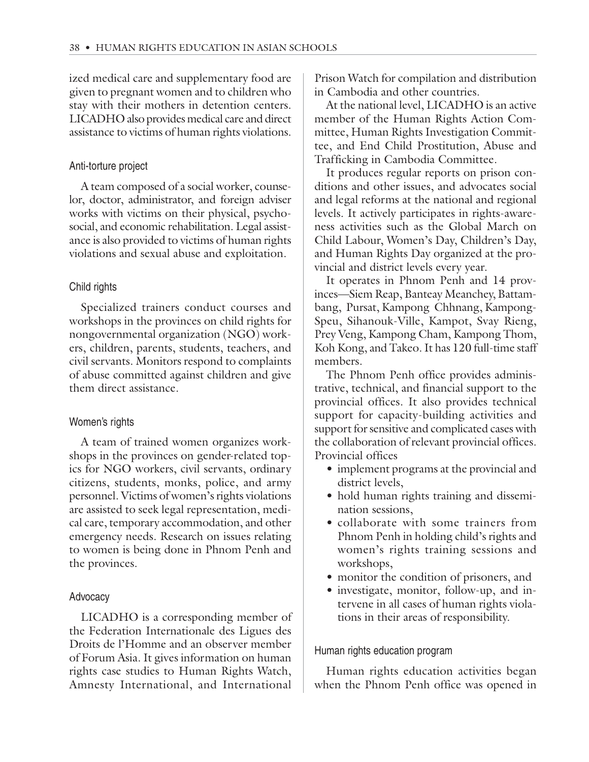ized medical care and supplementary food are given to pregnant women and to children who stay with their mothers in detention centers. LICADHO also provides medical care and direct assistance to victims of human rights violations.

#### Anti-torture project

A team composed of a social worker, counselor, doctor, administrator, and foreign adviser works with victims on their physical, psychosocial, and economic rehabilitation. Legal assistance is also provided to victims of human rights violations and sexual abuse and exploitation.

### Child rights

Specialized trainers conduct courses and workshops in the provinces on child rights for nongovernmental organization (NGO) workers, children, parents, students, teachers, and civil servants. Monitors respond to complaints of abuse committed against children and give them direct assistance.

### Women's rights

A team of trained women organizes workshops in the provinces on gender-related topics for NGO workers, civil servants, ordinary citizens, students, monks, police, and army personnel. Victims of women's rights violations are assisted to seek legal representation, medical care, temporary accommodation, and other emergency needs. Research on issues relating to women is being done in Phnom Penh and the provinces.

### Advocacy

LICADHO is a corresponding member of the Federation Internationale des Ligues des Droits de l'Homme and an observer member of Forum Asia. It gives information on human rights case studies to Human Rights Watch, Amnesty International, and International

Prison Watch for compilation and distribution in Cambodia and other countries.

At the national level, LICADHO is an active member of the Human Rights Action Committee, Human Rights Investigation Committee, and End Child Prostitution, Abuse and Trafficking in Cambodia Committee.

It produces regular reports on prison conditions and other issues, and advocates social and legal reforms at the national and regional levels. It actively participates in rights-awareness activities such as the Global March on Child Labour, Women's Day, Children's Day, and Human Rights Day organized at the provincial and district levels every year.

It operates in Phnom Penh and 14 provinces—Siem Reap, Banteay Meanchey, Battambang, Pursat, Kampong Chhnang, Kampong-Speu, Sihanouk-Ville, Kampot, Svay Rieng, Prey Veng, Kampong Cham, Kampong Thom, Koh Kong, and Takeo. It has 120 full-time staff members.

The Phnom Penh office provides administrative, technical, and financial support to the provincial offices. It also provides technical support for capacity-building activities and support for sensitive and complicated cases with the collaboration of relevant provincial offices. Provincial offices

- implement programs at the provincial and district levels,
- hold human rights training and dissemination sessions,
- collaborate with some trainers from Phnom Penh in holding child's rights and women's rights training sessions and workshops,
- monitor the condition of prisoners, and
- investigate, monitor, follow-up, and intervene in all cases of human rights violations in their areas of responsibility.

## Human rights education program

Human rights education activities began when the Phnom Penh office was opened in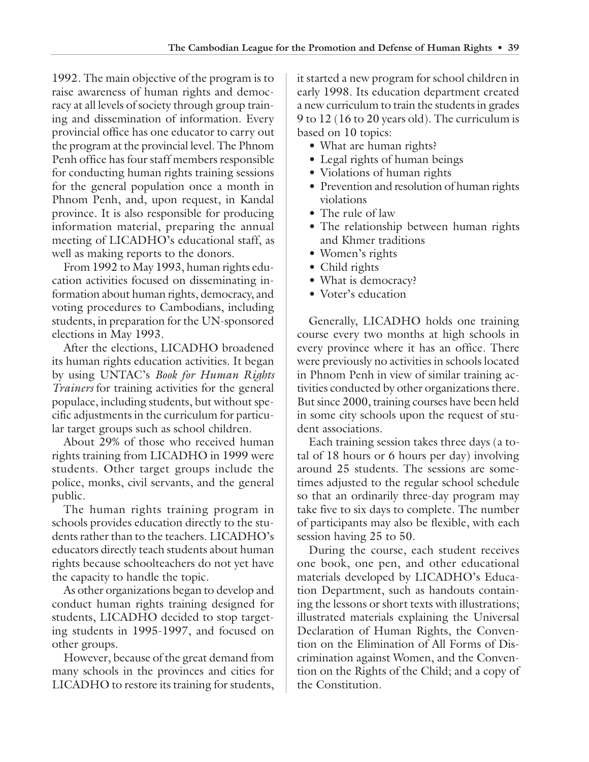1992. The main objective of the program is to raise awareness of human rights and democracy at all levels of society through group training and dissemination of information. Every provincial office has one educator to carry out the program at the provincial level. The Phnom Penh office has four staff members responsible for conducting human rights training sessions for the general population once a month in Phnom Penh, and, upon request, in Kandal province. It is also responsible for producing information material, preparing the annual meeting of LICADHO's educational staff, as well as making reports to the donors.

From 1992 to May 1993, human rights education activities focused on disseminating information about human rights, democracy, and voting procedures to Cambodians, including students, in preparation for the UN-sponsored elections in May 1993.

After the elections, LICADHO broadened its human rights education activities. It began by using UNTAC's *Book for Human Rights Trainers* for training activities for the general populace, including students, but without specific adjustments in the curriculum for particular target groups such as school children.

About 29% of those who received human rights training from LICADHO in 1999 were students. Other target groups include the police, monks, civil servants, and the general public.

The human rights training program in schools provides education directly to the students rather than to the teachers. LICADHO's educators directly teach students about human rights because schoolteachers do not yet have the capacity to handle the topic.

As other organizations began to develop and conduct human rights training designed for students, LICADHO decided to stop targeting students in 1995-1997, and focused on other groups.

However, because of the great demand from many schools in the provinces and cities for LICADHO to restore its training for students,

it started a new program for school children in early 1998. Its education department created a new curriculum to train the students in grades 9 to 12 (16 to 20 years old). The curriculum is based on 10 topics:

- What are human rights?
- Legal rights of human beings
- Violations of human rights
- Prevention and resolution of human rights violations
- The rule of law
- The relationship between human rights and Khmer traditions
- Women's rights
- Child rights
- What is democracy?
- Voter's education

Generally, LICADHO holds one training course every two months at high schools in every province where it has an office. There were previously no activities in schools located in Phnom Penh in view of similar training activities conducted by other organizations there. But since 2000, training courses have been held in some city schools upon the request of student associations.

Each training session takes three days (a total of 18 hours or 6 hours per day) involving around 25 students. The sessions are sometimes adjusted to the regular school schedule so that an ordinarily three-day program may take five to six days to complete. The number of participants may also be flexible, with each session having 25 to 50.

During the course, each student receives one book, one pen, and other educational materials developed by LICADHO's Education Department, such as handouts containing the lessons or short texts with illustrations; illustrated materials explaining the Universal Declaration of Human Rights, the Convention on the Elimination of All Forms of Discrimination against Women, and the Convention on the Rights of the Child; and a copy of the Constitution.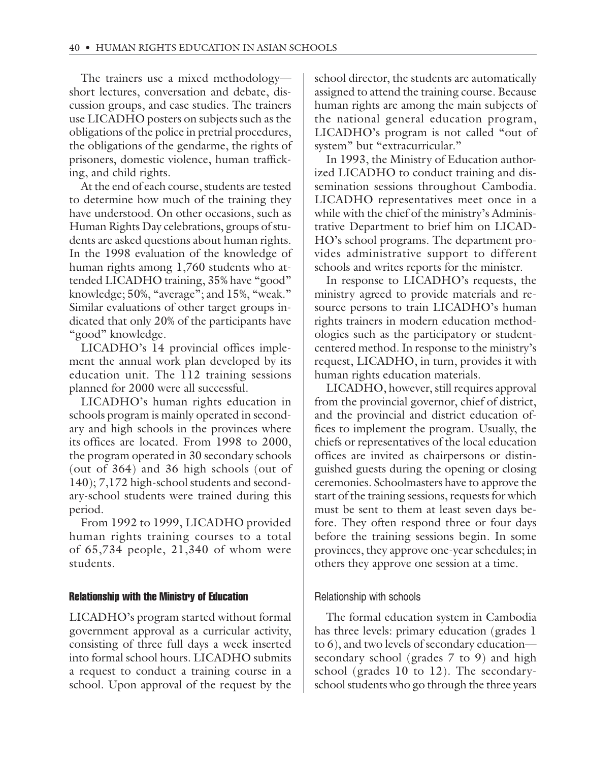The trainers use a mixed methodology short lectures, conversation and debate, discussion groups, and case studies. The trainers use LICADHO posters on subjects such as the obligations of the police in pretrial procedures, the obligations of the gendarme, the rights of prisoners, domestic violence, human trafficking, and child rights.

At the end of each course, students are tested to determine how much of the training they have understood. On other occasions, such as Human Rights Day celebrations, groups of students are asked questions about human rights. In the 1998 evaluation of the knowledge of human rights among 1,760 students who attended LICADHO training, 35% have "good" knowledge; 50%, "average"; and 15%, "weak." Similar evaluations of other target groups indicated that only 20% of the participants have "good" knowledge.

LICADHO's 14 provincial offices implement the annual work plan developed by its education unit. The 112 training sessions planned for 2000 were all successful.

LICADHO's human rights education in schools program is mainly operated in secondary and high schools in the provinces where its offices are located. From 1998 to 2000, the program operated in 30 secondary schools (out of 364) and 36 high schools (out of 140); 7,172 high-school students and secondary-school students were trained during this period.

From 1992 to 1999, LICADHO provided human rights training courses to a total of 65,734 people, 21,340 of whom were students.

#### Relationship with the Ministry of Education

LICADHO's program started without formal government approval as a curricular activity, consisting of three full days a week inserted into formal school hours. LICADHO submits a request to conduct a training course in a school. Upon approval of the request by the school director, the students are automatically assigned to attend the training course. Because human rights are among the main subjects of the national general education program, LICADHO's program is not called "out of system" but "extracurricular."

In 1993, the Ministry of Education authorized LICADHO to conduct training and dissemination sessions throughout Cambodia. LICADHO representatives meet once in a while with the chief of the ministry's Administrative Department to brief him on LICAD-HO's school programs. The department provides administrative support to different schools and writes reports for the minister.

In response to LICADHO's requests, the ministry agreed to provide materials and resource persons to train LICADHO's human rights trainers in modern education methodologies such as the participatory or studentcentered method. In response to the ministry's request, LICADHO, in turn, provides it with human rights education materials.

LICADHO, however, still requires approval from the provincial governor, chief of district, and the provincial and district education offices to implement the program. Usually, the chiefs or representatives of the local education offices are invited as chairpersons or distinguished guests during the opening or closing ceremonies. Schoolmasters have to approve the start of the training sessions, requests for which must be sent to them at least seven days before. They often respond three or four days before the training sessions begin. In some provinces, they approve one-year schedules; in others they approve one session at a time.

#### Relationship with schools

The formal education system in Cambodia has three levels: primary education (grades 1 to 6), and two levels of secondary education secondary school (grades 7 to 9) and high school (grades 10 to 12). The secondaryschool students who go through the three years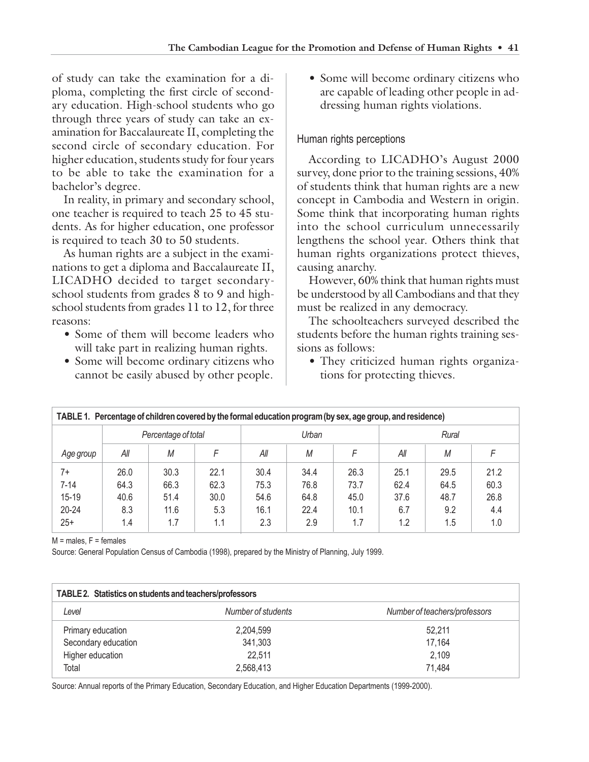of study can take the examination for a diploma, completing the first circle of secondary education. High-school students who go through three years of study can take an examination for Baccalaureate II, completing the second circle of secondary education. For higher education, students study for four years to be able to take the examination for a bachelor's degree.

In reality, in primary and secondary school, one teacher is required to teach 25 to 45 students. As for higher education, one professor is required to teach 30 to 50 students.

As human rights are a subject in the examinations to get a diploma and Baccalaureate II, LICADHO decided to target secondaryschool students from grades 8 to 9 and highschool students from grades 11 to 12, for three reasons:

- Some of them will become leaders who will take part in realizing human rights.
- Some will become ordinary citizens who cannot be easily abused by other people.

• Some will become ordinary citizens who are capable of leading other people in addressing human rights violations.

## Human rights perceptions

According to LICADHO's August 2000 survey, done prior to the training sessions, 40% of students think that human rights are a new concept in Cambodia and Western in origin. Some think that incorporating human rights into the school curriculum unnecessarily lengthens the school year. Others think that human rights organizations protect thieves, causing anarchy.

However, 60% think that human rights must be understood by all Cambodians and that they must be realized in any democracy.

The schoolteachers surveyed described the students before the human rights training sessions as follows:

• They criticized human rights organizations for protecting thieves.

| TABLE 1. Percentage of children covered by the formal education program (by sex, age group, and residence) |                              |      |      |      |       |      |      |      |      |  |
|------------------------------------------------------------------------------------------------------------|------------------------------|------|------|------|-------|------|------|------|------|--|
|                                                                                                            | Urban<br>Percentage of total |      |      |      | Rural |      |      |      |      |  |
| Age group                                                                                                  | All                          | M    |      | All  | M     |      | All  | M    |      |  |
| 7+                                                                                                         | 26.0                         | 30.3 | 22.1 | 30.4 | 34.4  | 26.3 | 25.1 | 29.5 | 21.2 |  |
| $7 - 14$                                                                                                   | 64.3                         | 66.3 | 62.3 | 75.3 | 76.8  | 73.7 | 62.4 | 64.5 | 60.3 |  |
| $15-19$                                                                                                    | 40.6                         | 51.4 | 30.0 | 54.6 | 64.8  | 45.0 | 37.6 | 48.7 | 26.8 |  |
| $20 - 24$                                                                                                  | 8.3                          | 11.6 | 5.3  | 16.1 | 22.4  | 10.1 | 6.7  | 9.2  | 4.4  |  |
| $25+$                                                                                                      | 1.4                          | 1.7  | 1.1  | 2.3  | 2.9   | 1.7  | 1.2  | 1.5  | 1.0  |  |

 $M =$  males,  $F =$  females

Source: General Population Census of Cambodia (1998), prepared by the Ministry of Planning, July 1999.

| TABLE 2. Statistics on students and teachers/professors |                    |                               |  |  |  |  |  |
|---------------------------------------------------------|--------------------|-------------------------------|--|--|--|--|--|
| Level                                                   | Number of students | Number of teachers/professors |  |  |  |  |  |
| Primary education                                       | 2,204,599          | 52.211                        |  |  |  |  |  |
| Secondary education                                     | 341,303            | 17,164                        |  |  |  |  |  |
| Higher education                                        | 22,511             | 2,109                         |  |  |  |  |  |
| Total                                                   | 2,568,413          | 71,484                        |  |  |  |  |  |

Source: Annual reports of the Primary Education, Secondary Education, and Higher Education Departments (1999-2000).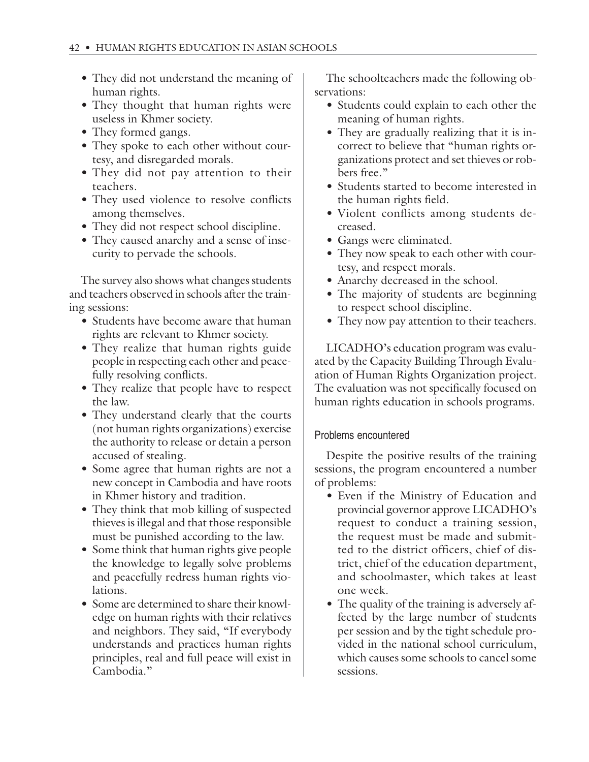- They did not understand the meaning of human rights.
- They thought that human rights were useless in Khmer society.
- They formed gangs.
- They spoke to each other without courtesy, and disregarded morals.
- They did not pay attention to their teachers.
- They used violence to resolve conflicts among themselves.
- They did not respect school discipline.
- They caused anarchy and a sense of insecurity to pervade the schools.

The survey also shows what changes students and teachers observed in schools after the training sessions:

- Students have become aware that human rights are relevant to Khmer society.
- They realize that human rights guide people in respecting each other and peacefully resolving conflicts.
- They realize that people have to respect the law.
- They understand clearly that the courts (not human rights organizations) exercise the authority to release or detain a person accused of stealing.
- Some agree that human rights are not a new concept in Cambodia and have roots in Khmer history and tradition.
- They think that mob killing of suspected thieves is illegal and that those responsible must be punished according to the law.
- Some think that human rights give people the knowledge to legally solve problems and peacefully redress human rights violations.
- Some are determined to share their knowledge on human rights with their relatives and neighbors. They said, "If everybody understands and practices human rights principles, real and full peace will exist in Cambodia."

The schoolteachers made the following observations:

- Students could explain to each other the meaning of human rights.
- They are gradually realizing that it is incorrect to believe that "human rights organizations protect and set thieves or robbers free."
- Students started to become interested in the human rights field.
- Violent conflicts among students decreased.
- Gangs were eliminated.
- They now speak to each other with courtesy, and respect morals.
- Anarchy decreased in the school.
- The majority of students are beginning to respect school discipline.
- They now pay attention to their teachers.

LICADHO's education program was evaluated by the Capacity Building Through Evaluation of Human Rights Organization project. The evaluation was not specifically focused on human rights education in schools programs.

## Problems encountered

Despite the positive results of the training sessions, the program encountered a number of problems:

- Even if the Ministry of Education and provincial governor approve LICADHO's request to conduct a training session, the request must be made and submitted to the district officers, chief of district, chief of the education department, and schoolmaster, which takes at least one week.
- The quality of the training is adversely affected by the large number of students per session and by the tight schedule provided in the national school curriculum, which causes some schools to cancel some sessions.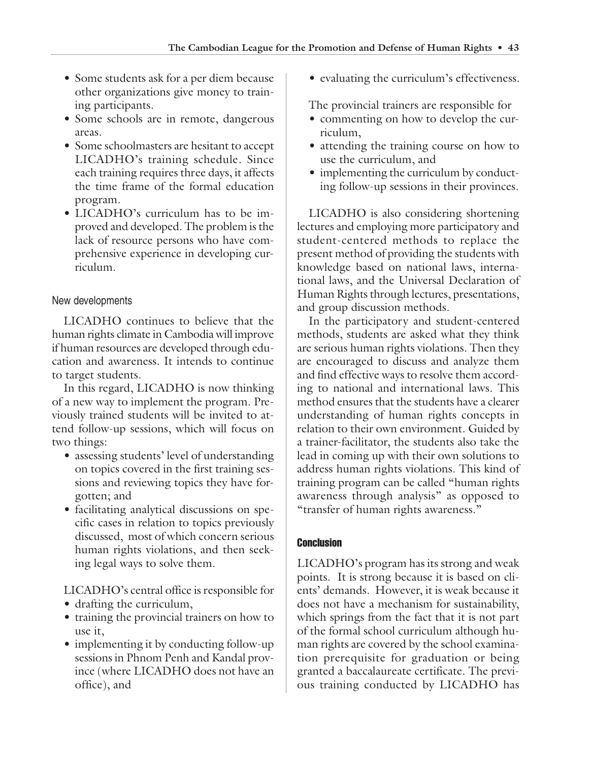- Some students ask for a per diem because other organizations give money to training participants.
- Some schools are in remote, dangerous areas.
- Some schoolmasters are hesitant to accept LICADHO's training schedule. Since each training requires three days, it affects the time frame of the formal education program.
- LICADHO's curriculum has to be improved and developed. The problem is the lack of resource persons who have comprehensive experience in developing curriculum.

## New developments

LICADHO continues to believe that the human rights climate in Cambodia will improve if human resources are developed through education and awareness. It intends to continue to target students.

In this regard, LICADHO is now thinking of a new way to implement the program. Previously trained students will be invited to attend follow-up sessions, which will focus on two things:

- assessing students' level of understanding on topics covered in the first training sessions and reviewing topics they have forgotten; and
- facilitating analytical discussions on specific cases in relation to topics previously discussed, most of which concern serious human rights violations, and then seeking legal ways to solve them.

LICADHO's central office is responsible for

- drafting the curriculum,
- training the provincial trainers on how to use it,
- implementing it by conducting follow-up sessions in Phnom Penh and Kandal province (where LICADHO does not have an office), and

• evaluating the curriculum's effectiveness.

The provincial trainers are responsible for

- commenting on how to develop the curriculum,
- attending the training course on how to use the curriculum, and
- implementing the curriculum by conducting follow-up sessions in their provinces.

LICADHO is also considering shortening lectures and employing more participatory and student-centered methods to replace the present method of providing the students with knowledge based on national laws, international laws, and the Universal Declaration of Human Rights through lectures, presentations, and group discussion methods.

In the participatory and student-centered methods, students are asked what they think are serious human rights violations. Then they are encouraged to discuss and analyze them and find effective ways to resolve them according to national and international laws. This method ensures that the students have a clearer understanding of human rights concepts in relation to their own environment. Guided by a trainer-facilitator, the students also take the lead in coming up with their own solutions to address human rights violations. This kind of training program can be called "human rights awareness through analysis" as opposed to "transfer of human rights awareness."

## **Conclusion**

LICADHO's program has its strong and weak points. It is strong because it is based on clients' demands. However, it is weak because it does not have a mechanism for sustainability, which springs from the fact that it is not part of the formal school curriculum although human rights are covered by the school examination prerequisite for graduation or being granted a baccalaureate certificate. The previous training conducted by LICADHO has